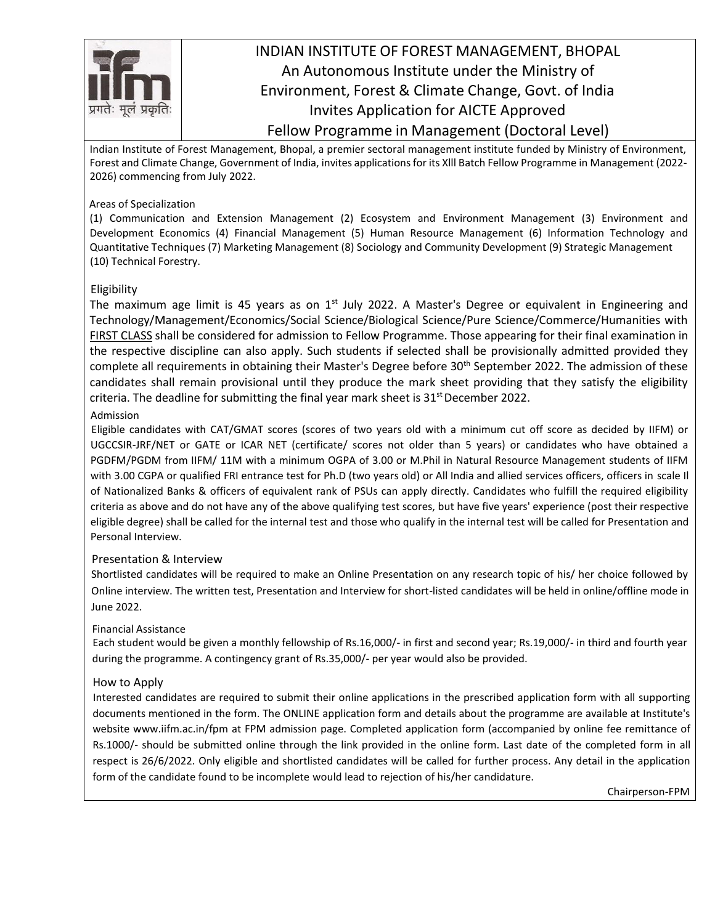

### INDIAN INSTITUTE OF FOREST MANAGEMENT, BHOPAL An Autonomous Institute under the Ministry of Environment, Forest & Climate Change, Govt. of India Invites Application for AICTE Approved Fellow Programme in Management (Doctoral Level)

Indian Institute of Forest Management, Bhopal, a premier sectoral management institute funded by Ministry of Environment, Forest and Climate Change, Government of India, invites applicationsfor its Xlll Batch Fellow Programme in Management (2022- 2026) commencing from July 2022.

#### Areas of Specialization

(1) Communication and Extension Management (2) Ecosystem and Environment Management (3) Environment and Development Economics (4) Financial Management (5) Human Resource Management (6) Information Technology and Quantitative Techniques (7) Marketing Management (8) Sociology and Community Development (9) Strategic Management (10) Technical Forestry.

#### Eligibility

The maximum age limit is 45 years as on  $1^{st}$  July 2022. A Master's Degree or equivalent in Engineering and Technology/Management/Economics/Social Science/Biological Science/Pure Science/Commerce/Humanities with FIRST CLASS shall be considered for admission to Fellow Programme. Those appearing for their final examination in the respective discipline can also apply. Such students if selected shall be provisionally admitted provided they complete all requirements in obtaining their Master's Degree before 30<sup>th</sup> September 2022. The admission of these candidates shall remain provisional until they produce the mark sheet providing that they satisfy the eligibility criteria. The deadline for submitting the final year mark sheet is  $31<sup>st</sup>$  December 2022.

#### Admission

Eligible candidates with CAT/GMAT scores (scores of two years old with a minimum cut off score as decided by IIFM) or UGCCSIR-JRF/NET or GATE or ICAR NET (certificate/ scores not older than 5 years) or candidates who have obtained a PGDFM/PGDM from IIFM/ 11M with a minimum OGPA of 3.00 or M.Phil in Natural Resource Management students of IIFM with 3.00 CGPA or qualified FRI entrance test for Ph.D (two years old) or All India and allied services officers, officers in scale Il of Nationalized Banks & officers of equivalent rank of PSUs can apply directly. Candidates who fulfill the required eligibility criteria as above and do not have any of the above qualifying test scores, but have five years' experience (post their respective eligible degree) shall be called for the internal test and those who qualify in the internal test will be called for Presentation and Personal Interview.

#### Presentation & Interview

Shortlisted candidates will be required to make an Online Presentation on any research topic of his/ her choice followed by Online interview. The written test, Presentation and Interview for short-listed candidates will be held in online/offline mode in June 2022.

#### Financial Assistance

Each student would be given a monthly fellowship of Rs.16,000/- in first and second year; Rs.19,000/- in third and fourth year during the programme. A contingency grant of Rs.35,000/- per year would also be provided.

#### How to Apply

Interested candidates are required to submit their online applications in the prescribed application form with all supporting documents mentioned in the form. The ONLINE application form and details about the programme are available at Institute's website [www.iifm.ac.in/fpm a](http://www.iifm.ac.in/fpm)t FPM admission page. Completed application form (accompanied by online fee remittance of Rs.1000/- should be submitted online through the link provided in the online form. Last date of the completed form in all respect is 26/6/2022. Only eligible and shortlisted candidates will be called for further process. Any detail in the application form of the candidate found to be incomplete would lead to rejection of his/her candidature.

Chairperson-FPM